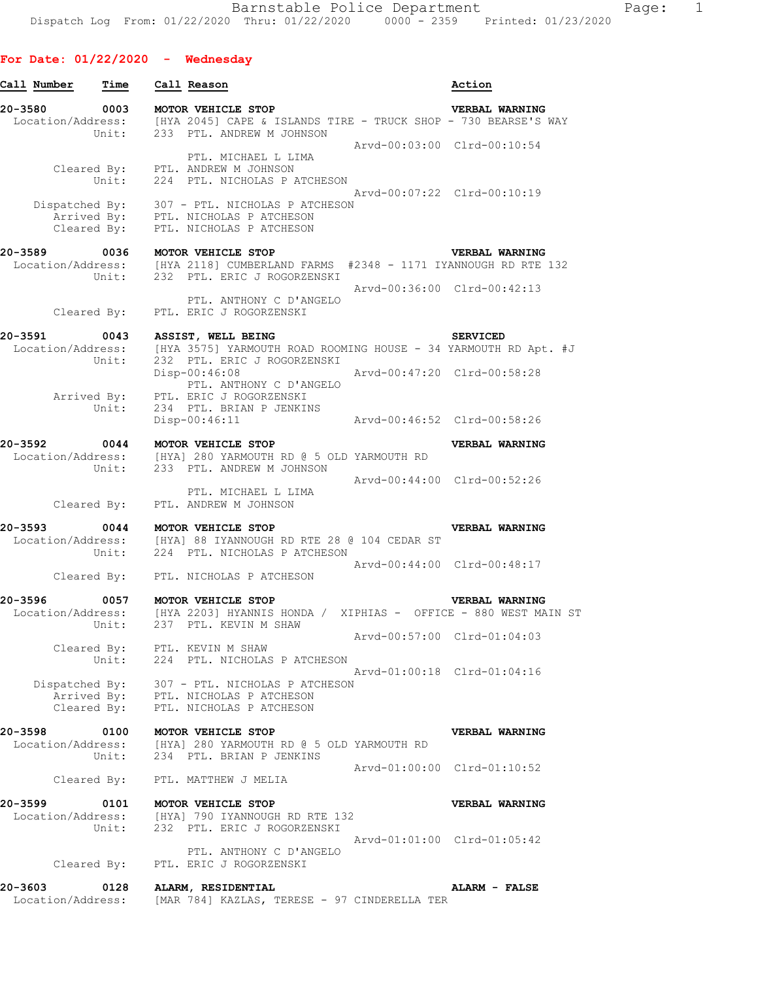| Call Number                       | Time          | Call Reason                                                                                                                                                                 | Action                      |
|-----------------------------------|---------------|-----------------------------------------------------------------------------------------------------------------------------------------------------------------------------|-----------------------------|
| 20-3580                           | 0003          | MOTOR VEHICLE STOP<br>Location/Address: [HYA 2045] CAPE & ISLANDS TIRE - TRUCK SHOP - 730 BEARSE'S WAY<br>Unit: 233 PTL. ANDREW M JOHNSON                                   | VERBAL WARNING              |
|                                   | Unit:         | PTL. MICHAEL L LIMA<br>Cleared By: PTL. ANDREW M JOHNSON<br>224 PTL. NICHOLAS P ATCHESON                                                                                    | Arvd-00:03:00 Clrd-00:10:54 |
|                                   | Cleared By:   | Dispatched By: 307 - PTL. NICHOLAS P ATCHESON<br>Arrived By: PTL. NICHOLAS P ATCHESON<br>PTL. NICHOLAS P ATCHESON                                                           | Arvd-00:07:22 Clrd-00:10:19 |
| 20-3589                           | 0036<br>Unit: | MOTOR VEHICLE STOP<br>Location/Address: [HYA 2118] CUMBERLAND FARMS #2348 - 1171 IYANNOUGH RD RTE 132<br>232 PTL. ERIC J ROGORZENSKI                                        | VERBAL WARNING              |
|                                   | Cleared By:   | PTL. ANTHONY C D'ANGELO<br>PTL. ERIC J ROGORZENSKI                                                                                                                          | Arvd-00:36:00 Clrd-00:42:13 |
|                                   |               |                                                                                                                                                                             |                             |
| 20-3591 0043<br>Location/Address: | Unit:         | ASSIST, WELL BEING<br>[HYA 3575] YARMOUTH ROAD ROOMING HOUSE - 34 YARMOUTH RD Apt. #J<br>232 PTL. ERIC J ROGORZENSKI                                                        | <b>SERVICED</b>             |
|                                   | Unit:         | Disp-00:46:08<br>PTL. ANTHONY C D'ANGELO<br>Arrived By: PTL. ERIC J ROGORZENSKI                                                                                             | Arvd-00:47:20 Clrd-00:58:28 |
|                                   |               | 234 PTL. BRIAN P JENKINS<br>$Disp-00:46:11$                                                                                                                                 | Arvd-00:46:52 Clrd-00:58:26 |
| 20-3592                           | 0044          | MOTOR VEHICLE STOP                                                                                                                                                          | VERBAL WARNING              |
|                                   |               | Location/Address: [HYA] 280 YARMOUTH RD @ 5 OLD YARMOUTH RD<br>Unit: 233 PTL. ANDREW M JOHNSON                                                                              |                             |
|                                   |               | PTL. MICHAEL L LIMA<br>Cleared By: PTL. ANDREW M JOHNSON                                                                                                                    | Arvd-00:44:00 Clrd-00:52:26 |
| 20-3593                           | Unit:         | 0044 MOTOR VEHICLE STOP<br>Location/Address: [HYA] 88 IYANNOUGH RD RTE 28 @ 104 CEDAR ST<br>224 PTL. NICHOLAS P ATCHESON                                                    | <b>VERBAL WARNING</b>       |
|                                   |               | Cleared By: PTL. NICHOLAS P ATCHESON                                                                                                                                        | Arvd-00:44:00 Clrd-00:48:17 |
|                                   |               |                                                                                                                                                                             |                             |
|                                   | Unit:         | 20-3596 0057 MOTOR VEHICLE STOP<br>Location/Address: [HYA 2203] HYANNIS HONDA / XIPHIAS - OFFICE - 880 WEST MAIN ST<br>Unit: 237 PTL. KEVIN M SHAW<br>237 PTL. KEVIN M SHAW | <b>VERBAL WARNING</b>       |
|                                   |               | Cleared By: PTL. KEVIN M SHAW<br>Unit: 224 PTL. NICHOLAS P ATCHESON                                                                                                         | Arvd-00:57:00 Clrd-01:04:03 |
|                                   |               | Dispatched By: 307 - PTL. NICHOLAS P ATCHESON<br>Arrived By: PTL. NICHOLAS P ATCHESON<br>Cleared By: PTL. NICHOLAS P ATCHESON                                               | Arvd-01:00:18 Clrd-01:04:16 |
| 20-3598                           |               | 0100 MOTOR VEHICLE STOP<br>Location/Address: [HYA] 280 YARMOUTH RD @ 5 OLD YARMOUTH RD<br>Unit: 234 PTL. BRIAN P JENKINS                                                    | VERBAL WARNING              |
|                                   |               | Cleared By: PTL. MATTHEW J MELIA                                                                                                                                            | Arvd-01:00:00 Clrd-01:10:52 |
| 20-3599                           |               | 0101 MOTOR VEHICLE STOP                                                                                                                                                     | VERBAL WARNING              |
|                                   |               | Location/Address: [HYA] 790 IYANNOUGH RD RTE 132<br>Unit: 232 PTL. ERIC J ROGORZENSKI                                                                                       |                             |
|                                   |               | PTL. ANTHONY C D'ANGELO<br>Cleared By: PTL. ERIC J ROGORZENSKI                                                                                                              | Arvd-01:01:00 Clrd-01:05:42 |
| 20-3603                           |               | 0128 ALARM, RESIDENTIAL<br>Location/Address: [MAR 784] KAZLAS, TERESE - 97 CINDERELLA TER                                                                                   | <b>ALARM - FALSE</b>        |
|                                   |               |                                                                                                                                                                             |                             |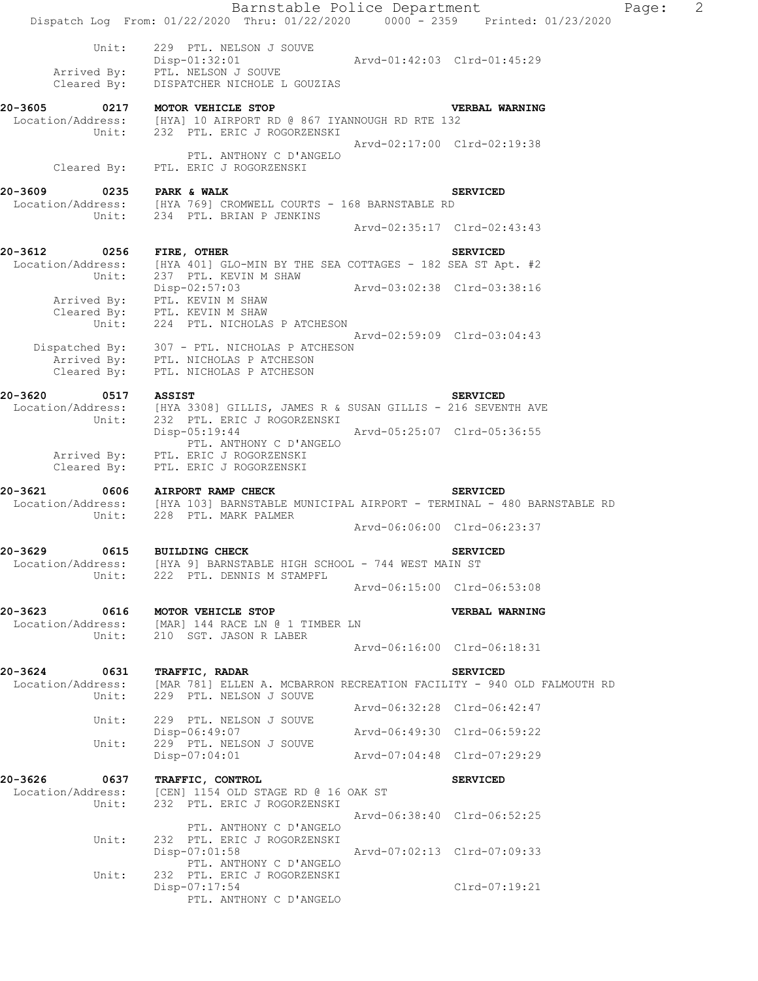|                                 | Barnstable Police Department<br>Dispatch Log From: 01/22/2020 Thru: 01/22/2020 0000 - 2359 Printed: 01/23/2020                                   |                             |                             | Page: | $\overline{2}$ |
|---------------------------------|--------------------------------------------------------------------------------------------------------------------------------------------------|-----------------------------|-----------------------------|-------|----------------|
| Unit:                           | 229 PTL. NELSON J SOUVE<br>$Disp-01:32:01$<br>PTL. NELSON J SOUVE                                                                                | Arvd-01:42:03 Clrd-01:45:29 |                             |       |                |
| Arrived By:<br>Cleared By:      | DISPATCHER NICHOLE L GOUZIAS                                                                                                                     |                             |                             |       |                |
| 20-3605 0217 MOTOR VEHICLE STOP | Location/Address: [HYA] 10 AIRPORT RD @ 867 IYANNOUGH RD RTE 132<br>Unit: 232 PTL. ERIC J ROGORZENSKI                                            |                             | <b>VERBAL WARNING</b>       |       |                |
| Cleared By:                     | PTL. ANTHONY C D'ANGELO<br>PTL. ERIC J ROGORZENSKI                                                                                               |                             | Arvd-02:17:00 Clrd-02:19:38 |       |                |
| 20-3609                         | 9-3609 0235 PARK & WALK<br>Location/Address: [HYA 769] CROMWELL COURTS - 168 BARNSTABLE RD                                                       |                             | <b>SERVICED</b>             |       |                |
|                                 | Unit: 234 PTL. BRIAN P JENKINS                                                                                                                   |                             | Arvd-02:35:17 Clrd-02:43:43 |       |                |
| 20-3612 0256                    | FIRE, OTHER                                                                                                                                      |                             | <b>SERVICED</b>             |       |                |
| Unit:                           | Location/Address: [HYA 401] GLO-MIN BY THE SEA COTTAGES - 182 SEA ST Apt. #2<br>237 PTL. KEVIN M SHAW                                            |                             |                             |       |                |
|                                 | $Disp-02:57:03$<br>Arrived By: PTL. KEVIN M SHAW                                                                                                 |                             | Arvd-03:02:38 Clrd-03:38:16 |       |                |
| Unit:                           | Cleared By: PTL. KEVIN M SHAW<br>224 PTL. NICHOLAS P ATCHESON                                                                                    |                             |                             |       |                |
|                                 |                                                                                                                                                  |                             | Arvd-02:59:09 Clrd-03:04:43 |       |                |
| Cleared By:                     | Dispatched By: 307 - PTL. NICHOLAS P ATCHESON<br>Arrived By: PTL. NICHOLAS P ATCHESON<br>PTL. NICHOLAS P ATCHESON                                |                             |                             |       |                |
| 20-3620                         | 0517 ASSIST                                                                                                                                      |                             | <b>SERVICED</b>             |       |                |
| Unit:                           | Location/Address: [HYA 3308] GILLIS, JAMES R & SUSAN GILLIS - 216 SEVENTH AVE<br>232 PTL. ERIC J ROGORZENSKI                                     |                             |                             |       |                |
|                                 | $Disp-05:19:44$<br>PTL. ANTHONY C D'ANGELO                                                                                                       |                             |                             |       |                |
| Cleared By:                     | Arrived By: PTL. ERIC J ROGORZENSKI<br>PTL. ERIC J ROGORZENSKI                                                                                   |                             |                             |       |                |
| 20-3621                         | 0606 AIRPORT RAMP CHECK<br>Location/Address: [HYA 103] BARNSTABLE MUNICIPAL AIRPORT - TERMINAL - 480 BARNSTABLE RD<br>Unit: 228 PTL. MARK PALMER |                             | <b>SERVICED</b>             |       |                |
|                                 |                                                                                                                                                  |                             | Arvd-06:06:00 Clrd-06:23:37 |       |                |
| 20-3629<br>0615                 | <b>BUILDING CHECK</b><br>Location/Address: [HYA 9] BARNSTABLE HIGH SCHOOL - 744 WEST MAIN ST<br>Unit: 222 PTL. DENNIS M STAMPFL                  |                             | <b>SERVICED</b>             |       |                |
|                                 |                                                                                                                                                  | Arvd-06:15:00 Clrd-06:53:08 |                             |       |                |
| 20-3623<br>Unit:                | 0616 MOTOR VEHICLE STOP<br>Location/Address: [MAR] 144 RACE LN @ 1 TIMBER LN<br>210 SGT. JASON R LABER                                           |                             | VERBAL WARNING              |       |                |
|                                 |                                                                                                                                                  | Arvd-06:16:00 Clrd-06:18:31 |                             |       |                |
| 20-3624<br>0631<br>Unit:        | <b>TRAFFIC, RADAR</b><br>Location/Address: [MAR 781] ELLEN A. MCBARRON RECREATION FACILITY - 940 OLD FALMOUTH RD<br>229 PTL. NELSON J SOUVE      |                             | <b>SERVICED</b>             |       |                |
| Unit:                           | 229 PTL. NELSON J SOUVE                                                                                                                          | Arvd-06:32:28 Clrd-06:42:47 |                             |       |                |
| Unit:                           | Disp-06:49:07<br>229 PTL. NELSON J SOUVE                                                                                                         | Arvd-06:49:30 Clrd-06:59:22 |                             |       |                |
|                                 | Disp-07:04:01                                                                                                                                    | Arvd-07:04:48 Clrd-07:29:29 |                             |       |                |
| 20-3626 0637 TRAFFIC, CONTROL   |                                                                                                                                                  |                             | <b>SERVICED</b>             |       |                |
| Location/Address:<br>Unit:      | [CEN] 1154 OLD STAGE RD @ 16 OAK ST<br>232 PTL. ERIC J ROGORZENSKI                                                                               |                             |                             |       |                |
|                                 | PTL. ANTHONY C D'ANGELO                                                                                                                          |                             | Arvd-06:38:40 Clrd-06:52:25 |       |                |
| Unit:                           | 232 PTL. ERIC J ROGORZENSKI<br>Disp-07:01:58<br>PTL. ANTHONY C D'ANGELO                                                                          | Arvd-07:02:13 Clrd-07:09:33 |                             |       |                |
| Unit:                           | 232 PTL. ERIC J ROGORZENSKI<br>$Disp-07:17:54$<br>PTL. ANTHONY C D'ANGELO                                                                        |                             | Clrd-07:19:21               |       |                |
|                                 |                                                                                                                                                  |                             |                             |       |                |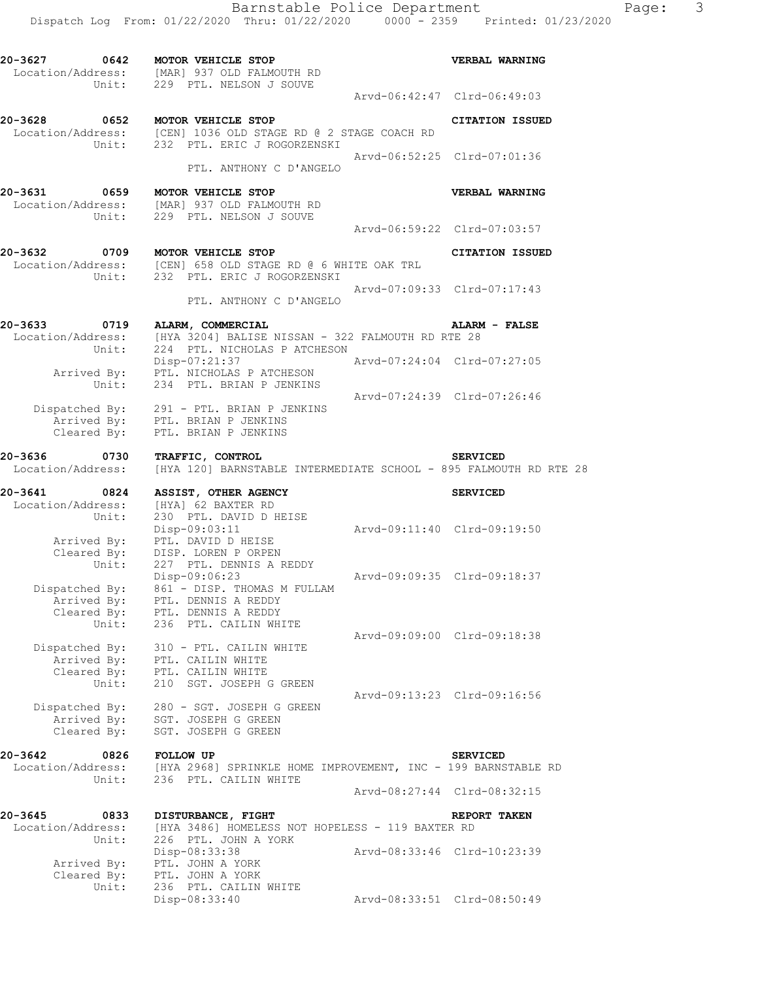| 20-3627                                       | 0642 MOTOR VEHICLE STOP<br>Location/Address: [MAR] 937 OLD FALMOUTH RD<br>Unit: 229 PTL. NELSON J SOUVE                      |                             | VERBAL WARNING              |
|-----------------------------------------------|------------------------------------------------------------------------------------------------------------------------------|-----------------------------|-----------------------------|
|                                               |                                                                                                                              | Arvd-06:42:47 Clrd-06:49:03 |                             |
| 20-3628                                       | 0652 MOTOR VEHICLE STOP<br>Location/Address: [CEN] 1036 OLD STAGE RD @ 2 STAGE COACH RD<br>Unit: 232 PTL. ERIC J ROGORZENSKI |                             | <b>CITATION ISSUED</b>      |
|                                               | PTL. ANTHONY C D'ANGELO                                                                                                      |                             | Arvd-06:52:25 Clrd-07:01:36 |
| 20-3631 0659                                  | MOTOR VEHICLE STOP<br>Location/Address: [MAR] 937 OLD FALMOUTH RD<br>Unit: 229 PTL. NELSON J SOUVE                           |                             | VERBAL WARNING              |
|                                               |                                                                                                                              | Arvd-06:59:22 Clrd-07:03:57 |                             |
| 20-3632                                       | 0709 MOTOR VEHICLE STOP<br>Location/Address: [CEN] 658 OLD STAGE RD @ 6 WHITE OAK TRL<br>Unit: 232 PTL. ERIC J ROGORZENSKI   |                             | CITATION ISSUED             |
|                                               | PTL. ANTHONY C D'ANGELO                                                                                                      | Arvd-07:09:33 Clrd-07:17:43 |                             |
| 20-3633 0719<br>Location/Address:<br>Unit:    | ALARM, COMMERCIAL<br>[HYA 3204] BALISE NISSAN - 322 FALMOUTH RD RTE 28<br>224 PTL. NICHOLAS P ATCHESON                       |                             | <b>ALARM - FALSE</b>        |
|                                               | Disp-07:21:37<br>Arrived By: PTL. NICHOLAS P ATCHESON<br>Unit: 234 PTL. BRIAN P JENKINS                                      | Arvd-07:24:04 Clrd-07:27:05 |                             |
| Cleared By:                                   | Dispatched By: 291 - PTL. BRIAN P JENKINS<br>Arrived By: PTL. BRIAN P JENKINS<br>PTL. BRIAN P JENKINS                        | Arvd-07:24:39 Clrd-07:26:46 |                             |
| 20-3636<br>0730<br>Location/Address:          | TRAFFIC, CONTROL<br>[HYA 120] BARNSTABLE INTERMEDIATE SCHOOL - 895 FALMOUTH RD RTE 28                                        |                             | <b>SERVICED</b>             |
|                                               |                                                                                                                              |                             |                             |
| Location/Address:                             | 20-3641 0824 ASSIST, OTHER AGENCY<br>[HYA] 62 BAXTER RD                                                                      |                             | <b>SERVICED</b>             |
| Unit:                                         | 230 PTL. DAVID D HEISE<br>Disp-09:03:11<br>Arrived By: PTL. DAVID D HEISE                                                    | Arvd-09:11:40 Clrd-09:19:50 |                             |
| Unit:                                         | Cleared By: DISP. LOREN P ORPEN<br>227 PTL. DENNIS A REDDY<br>Disp-09:06:23                                                  | Arvd-09:09:35 Clrd-09:18:37 |                             |
| Cleared By:                                   | Dispatched By: 861 - DISP. THOMAS M FULLAM<br>Arrived By: PTL. DENNIS A REDDY<br>PTL. DENNIS A REDDY                         |                             |                             |
| Unit:<br>Dispatched By:                       | 236 PTL. CAILIN WHITE<br>310 - PTL. CAILIN WHITE<br>spatched By: 310 - PTL. CAILIN<br>Arrived By: PTL. CAILIN WHITE          |                             | Arvd-09:09:00 Clrd-09:18:38 |
| Cleared By:<br>Unit:                          | PTL. CAILIN WHITE<br>210 SGT. JOSEPH G GREEN                                                                                 |                             | Arvd-09:13:23 Clrd-09:16:56 |
| Dispatched By:<br>Arrived By:<br>Cleared By:  | 280 - SGT. JOSEPH G GREEN<br>. 280 - كون .<br>SGT. JOSEPH G GREEN<br>محمد المستعدد المستعدد<br>SGT. JOSEPH G GREEN           |                             |                             |
| 20-3642<br>0826<br>Location/Address:<br>Unit: | <b>FOLLOW UP</b><br>[HYA 2968] SPRINKLE HOME IMPROVEMENT, INC - 199 BARNSTABLE RD<br>236 PTL. CAILIN WHITE                   |                             | <b>SERVICED</b>             |
|                                               |                                                                                                                              |                             | Arvd-08:27:44 Clrd-08:32:15 |
| 20-3645<br>0833<br>Location/Address:          | DISTURBANCE, FIGHT<br>[HYA 3486] HOMELESS NOT HOPELESS - 119 BAXTER RD                                                       |                             | REPORT TAKEN                |
| Unit:<br>Arrived By:<br>Cleared By:           | 226 PTL. JOHN A YORK<br>Disp-08:33:38<br>PTL. JOHN A YORK<br>PTL. JOHN A YORK                                                |                             | Arvd-08:33:46 Clrd-10:23:39 |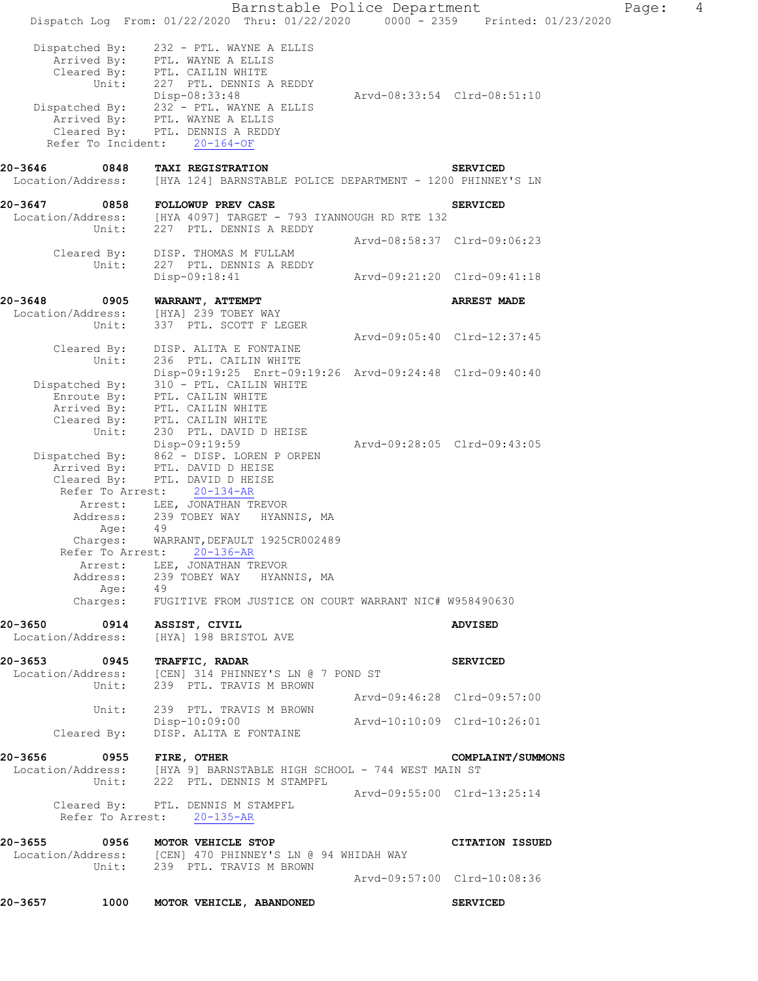Barnstable Police Department Page: 4 Dispatch Log From: 01/22/2020 Thru: 01/22/2020 0000 - 2359 Printed: 01/23/2020 Dispatched By: 232 - PTL. WAYNE A ELLIS .<br>Arrived By: PTL. WAYNE A ELLIS Cleared By: PTL. CAILIN WHITE Unit: 227 PTL. DENNIS A REDDY Disp-08:33:48 Arvd-08:33:54 Clrd-08:51:10 Dispatched By: 232 - PTL. WAYNE A ELLIS .<br>Arrived By: PTL. WAYNE A ELLIS Cleared By: PTL. DENNIS A REDDY Refer To Incident: 20-164-OF **20-3646 0848 TAXI REGISTRATION SERVICED**  Location/Address: [HYA 124] BARNSTABLE POLICE DEPARTMENT - 1200 PHINNEY'S LN 20-3647 0858 FOLLOWUP PREV CASE **SERVICED**  Location/Address: [HYA 4097] TARGET - 793 IYANNOUGH RD RTE 132 Unit: 227 PTL. DENNIS A REDDY Arvd-08:58:37 Clrd-09:06:23 Cleared By: DISP. THOMAS M FULLAM Unit: 227 PTL. DENNIS A REDDY Disp-09:18:41 Arvd-09:21:20 Clrd-09:41:18 **20-3648 0905 WARRANT, ATTEMPT ARREST MADE**  Location/Address: [HYA] 239 TOBEY WAY<br>Unit: 337 PTL. SCOTT F LE 337 PTL. SCOTT F LEGER Arvd-09:05:40 Clrd-12:37:45 Cleared By: DISP. ALITA E FONTAINE Unit: 236 PTL. CAILIN WHITE Disp-09:19:25 Enrt-09:19:26 Arvd-09:24:48 Clrd-09:40:40 Dispatched By: 310 - PTL. CAILIN WHITE .<br>Enroute By: PTL. CAILIN WHITE Arrived By: PTL. CAILIN WHITE Cleared By: PTL. CAILIN WHITE Unit: 230 PTL. DAVID D HEISE Disp-09:19:59 Arvd-09:28:05 Clrd-09:43:05 Dispatched By: 862 - DISP. LOREN P ORPEN .<br>Arrived By: PTL. DAVID D HEISE Cleared By: PTL. DAVID D HEISE Refer To Arrest: 20-134-AR Arrest: LEE, JONATHAN TREVOR Address: 239 TOBEY WAY HYANNIS, MA Age: 49 Charges: WARRANT,DEFAULT 1925CR002489 Refer To Arrest: 20-136-AR Arrest: LEE, JONATHAN TREVOR Address: 239 TOBEY WAY HYANNIS, MA Age: 49 Charges: FUGITIVE FROM JUSTICE ON COURT WARRANT NIC# W958490630 **20-3650 0914 ASSIST, CIVIL ADVISED**  Location/Address: [HYA] 198 BRISTOL AVE **20-3653 0945 TRAFFIC, RADAR SERVICED**  Location/Address: [CEN] 314 PHINNEY'S LN @ 7 POND ST Unit: 239 PTL. TRAVIS M BROWN Unit: 239 PTL. TRAVIS M BROWN<br>Arvd-09:46:28 Clrd-09:57:00 Unit: 239 PTL. TRAVIS M BROWN Disp-10:09:00 Arvd-10:10:09 Clrd-10:26:01 Cleared By: DISP. ALITA E FONTAINE **20-3656 0955 FIRE, OTHER COMPLAINT/SUMMONS**  Location/Address: [HYA 9] BARNSTABLE HIGH SCHOOL - 744 WEST MAIN ST Unit: 222 PTL. DENNIS M STAMPFL Arvd-09:55:00 Clrd-13:25:14 Cleared By: PTL. DENNIS M STAMPFL Refer To Arrest: 20-135-AR **20-3655 0956 MOTOR VEHICLE STOP CITATION ISSUED**  Location/Address: [CEN] 470 PHINNEY'S LN @ 94 WHIDAH WAY Unit: 239 PTL. TRAVIS M BROWN Arvd-09:57:00 Clrd-10:08:36 **20-3657 1000 MOTOR VEHICLE, ABANDONED SERVICED**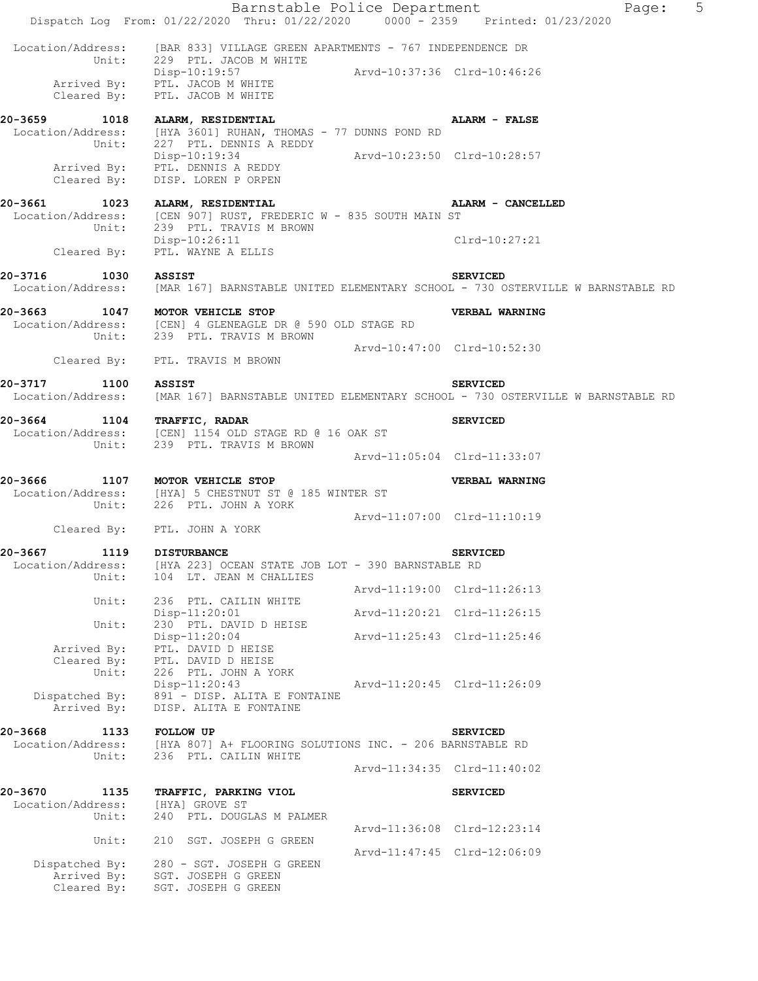|                                      | Barnstable Police Department<br>Dispatch Log From: 01/22/2020 Thru: 01/22/2020 0000 - 2359 Printed: 01/23/2020 |                             |                             | Page: | 5 |
|--------------------------------------|----------------------------------------------------------------------------------------------------------------|-----------------------------|-----------------------------|-------|---|
|                                      | Location/Address: [BAR 833] VILLAGE GREEN APARTMENTS - 767 INDEPENDENCE DR                                     |                             |                             |       |   |
|                                      | Unit: 229 PTL. JACOB M WHITE                                                                                   | Arvd-10:37:36 Clrd-10:46:26 |                             |       |   |
|                                      | Disp-10:19:57<br>Arrived By: PTL. JACOB M WHITE<br>Cleared By: PTL. JACOB M WHITE                              |                             |                             |       |   |
|                                      | 20-3659 1018 ALARM, RESIDENTIAL                                                                                |                             | ALARM - FALSE               |       |   |
|                                      | Location/Address: [HYA 3601] RUHAN, THOMAS - 77 DUNNS POND RD<br>Unit: 227 PTL. DENNIS A REDDY                 |                             |                             |       |   |
|                                      | Disp-10:19:34                                                                                                  | Arvd-10:23:50 Clrd-10:28:57 |                             |       |   |
|                                      | Arrived By: PTL. DENNIS A REDDY<br>Cleared By: DISP. LOREN P ORPEN                                             |                             |                             |       |   |
|                                      | 20-3661 1023 ALARM, RESIDENTIAL                                                                                |                             | ALARM - CANCELLED           |       |   |
|                                      | Location/Address: [CEN 907] RUST, FREDERIC W - 835 SOUTH MAIN ST                                               |                             |                             |       |   |
|                                      | Unit: 239 PTL. TRAVIS M BROWN<br>Disp-10:26:11                                                                 |                             | Clrd-10:27:21               |       |   |
|                                      | Cleared By: PTL. WAYNE A ELLIS                                                                                 |                             |                             |       |   |
| 20-3716<br>1030 ASSIST               |                                                                                                                |                             | <b>SERVICED</b>             |       |   |
|                                      | Location/Address: [MAR 167] BARNSTABLE UNITED ELEMENTARY SCHOOL - 730 OSTERVILLE W BARNSTABLE RD               |                             |                             |       |   |
|                                      | 20-3663 1047 MOTOR VEHICLE STOP                                                                                |                             | VERBAL WARNING              |       |   |
|                                      | Location/Address: [CEN] 4 GLENEAGLE DR @ 590 OLD STAGE RD<br>Unit: 239 PTL. TRAVIS M BROWN                     |                             |                             |       |   |
|                                      |                                                                                                                | Arvd-10:47:00 Clrd-10:52:30 |                             |       |   |
|                                      | Cleared By: PTL. TRAVIS M BROWN                                                                                |                             |                             |       |   |
| 20-3717 1100 ASSIST                  |                                                                                                                |                             |                             |       |   |
|                                      | Location/Address: [MAR 167] BARNSTABLE UNITED ELEMENTARY SCHOOL - 730 OSTERVILLE W BARNSTABLE RD               |                             | <b>SERVICED</b>             |       |   |
| 20-3664 1104 TRAFFIC, RADAR          |                                                                                                                |                             |                             |       |   |
|                                      | Location/Address: [CEN] 1154 OLD STAGE RD @ 16 OAK ST                                                          |                             | <b>SERVICED</b>             |       |   |
|                                      | Unit: 239 PTL. TRAVIS M BROWN                                                                                  |                             |                             |       |   |
|                                      |                                                                                                                |                             | Arvd-11:05:04 Clrd-11:33:07 |       |   |
| 20-3666                              | 1107 MOTOR VEHICLE STOP                                                                                        |                             | VERBAL WARNING              |       |   |
|                                      | Location/Address: [HYA] 5 CHESTNUT ST @ 185 WINTER ST<br>Unit: 226 PTL. JOHN A YORK                            |                             |                             |       |   |
|                                      |                                                                                                                | Arvd-11:07:00 Clrd-11:10:19 |                             |       |   |
|                                      | Cleared By: PTL. JOHN A YORK                                                                                   |                             |                             |       |   |
| 20-3667 1119 DISTURBANCE             |                                                                                                                |                             | <b>SERVICED</b>             |       |   |
| Location/Address:<br>Unit:           | [HYA 223] OCEAN STATE JOB LOT - 390 BARNSTABLE RD<br>104 LT. JEAN M CHALLIES                                   |                             |                             |       |   |
|                                      |                                                                                                                |                             | Arvd-11:19:00 Clrd-11:26:13 |       |   |
| Unit:                                | 236 PTL. CAILIN WHITE<br>Disp-11:20:01                                                                         |                             | Arvd-11:20:21 Clrd-11:26:15 |       |   |
| Unit:                                | 230 PTL. DAVID D HEISE                                                                                         |                             |                             |       |   |
| Arrived By:                          | $Disp-11:20:04$<br>PTL. DAVID D HEISE                                                                          |                             | Arvd-11:25:43 Clrd-11:25:46 |       |   |
| Cleared By:                          | PTL. DAVID D HEISE                                                                                             |                             |                             |       |   |
| Unit:                                | 226 PTL. JOHN A YORK<br>$Disp-11:20:43$                                                                        |                             |                             |       |   |
| Dispatched By:                       | 891 - DISP. ALITA E FONTAINE                                                                                   | Arvd-11:20:45 Clrd-11:26:09 |                             |       |   |
| Arrived By:                          | DISP. ALITA E FONTAINE                                                                                         |                             |                             |       |   |
| 20-3668<br>1133                      | <b>FOLLOW UP</b>                                                                                               |                             | <b>SERVICED</b>             |       |   |
|                                      | Location/Address: [HYA 807] A+ FLOORING SOLUTIONS INC. - 206 BARNSTABLE RD                                     |                             |                             |       |   |
| Unit:                                | 236 PTL. CAILIN WHITE                                                                                          |                             | Arvd-11:34:35 Clrd-11:40:02 |       |   |
|                                      |                                                                                                                |                             |                             |       |   |
| 20-3670<br>1135<br>Location/Address: | TRAFFIC, PARKING VIOL<br>[HYA] GROVE ST                                                                        |                             | <b>SERVICED</b>             |       |   |
| Unit:                                | 240 PTL. DOUGLAS M PALMER                                                                                      |                             |                             |       |   |
| Unit:                                | 210 SGT. JOSEPH G GREEN                                                                                        |                             | Arvd-11:36:08 Clrd-12:23:14 |       |   |
|                                      |                                                                                                                |                             | Arvd-11:47:45 Clrd-12:06:09 |       |   |
|                                      | Dispatched By: 280 - SGT. JOSEPH G GREEN<br>Arrived By: SGT. JOSEPH G GREEN                                    |                             |                             |       |   |
|                                      | Cleared By: SGT. JOSEPH G GREEN                                                                                |                             |                             |       |   |
|                                      |                                                                                                                |                             |                             |       |   |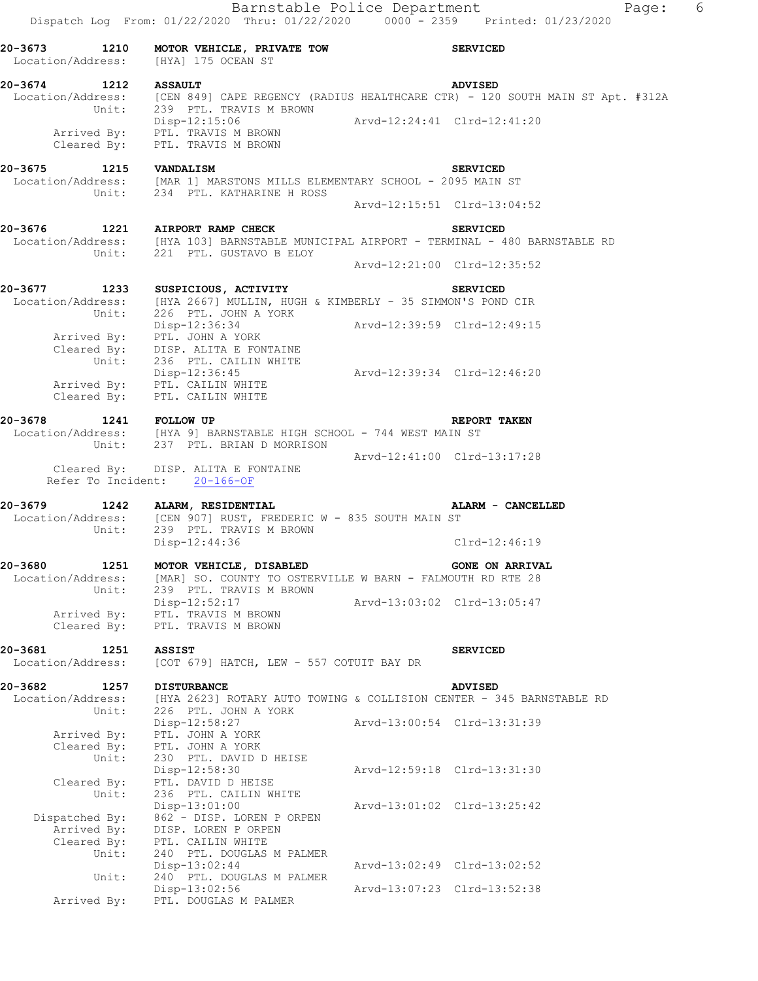Barnstable Police Department Fage: 6 Dispatch Log From: 01/22/2020 Thru: 01/22/2020 0000 - 2359 Printed: 01/23/2020 **20-3673 1210 MOTOR VEHICLE, PRIVATE TOW SERVICED**  Location/Address: [HYA] 175 OCEAN ST **20-3674 1212 ASSAULT ADVISED**  Location/Address: [CEN 849] CAPE REGENCY (RADIUS HEALTHCARE CTR) - 120 SOUTH MAIN ST Apt. #312A Unit: 239 PTL. TRAVIS M BROWN Disp-12:15:06 Arvd-12:24:41 Clrd-12:41:20 Arrived By: PTL. TRAVIS M BROWN Cleared By: PTL. TRAVIS M BROWN **20-3675 1215 VANDALISM SERVICED**  Location/Address: [MAR 1] MARSTONS MILLS ELEMENTARY SCHOOL - 2095 MAIN ST Unit: 234 PTL. KATHARINE H ROSS  $Arvd-12:15:51 \quad \text{Cl} \, \text{rd} - 13:04:52$ **20-3676 1221 AIRPORT RAMP CHECK SERVICED**  Location/Address: [HYA 103] BARNSTABLE MUNICIPAL AIRPORT - TERMINAL - 480 BARNSTABLE RD Unit: 221 PTL. GUSTAVO B ELOY Arvd-12:21:00 Clrd-12:35:52 **20-3677 1233 SUSPICIOUS, ACTIVITY SERVICED**  Location/Address: [HYA 2667] MULLIN, HUGH & KIMBERLY - 35 SIMMON'S POND CIR Unit: 226 PTL. JOHN A YORK Disp-12:36:34 Arvd-12:39:59 Clrd-12:49:15 Arrived By: PTL. JOHN A YORK Cleared By: DISP. ALITA E FONTAINE Unit: 236 PTL. CAILIN WHITE Disp-12:36:45 Arvd-12:39:34 Clrd-12:46:20 Arrived By: PTL. CAILIN WHITE Cleared By: PTL. CAILIN WHITE **20-3678 1241 FOLLOW UP REPORT TAKEN**  Location/Address: [HYA 9] BARNSTABLE HIGH SCHOOL - 744 WEST MAIN ST Unit: 237 PTL. BRIAN D MORRISON Arvd-12:41:00 Clrd-13:17:28 Cleared By: DISP. ALITA E FONTAINE Refer To Incident: 20-166-OF **20-3679 1242 ALARM, RESIDENTIAL ALARM - CANCELLED**  Location/Address: [CEN 907] RUST, FREDERIC W - 835 SOUTH MAIN ST Unit: 239 PTL. TRAVIS M BROWN Disp-12:44:36 Clrd-12:46:19 20-3680 1251 MOTOR VEHICLE, DISABLED **1251 CONE ON ARRIVAL**  Location/Address: [MAR] SO. COUNTY TO OSTERVILLE W BARN - FALMOUTH RD RTE 28 Unit: 239 PTL. TRAVIS M BROWN Disp-12:52:17 Arvd-13:03:02 Clrd-13:05:47 Arrived By: PTL. TRAVIS M BROWN Cleared By: PTL. TRAVIS M BROWN **20-3681 1251 ASSIST SERVICED**  Location/Address: [COT 679] HATCH, LEW - 557 COTUIT BAY DR **20-3682 1257 DISTURBANCE ADVISED**  Location/Address: [HYA 2623] ROTARY AUTO TOWING & COLLISION CENTER - 345 BARNSTABLE RD Unit: 226 PTL. JOHN A YORK Disp-12:58:27 Arvd-13:00:54 Clrd-13:31:39 Arrived By: PTL. JOHN A YORK Cleared By: PTL. JOHN A YORK Unit: 230 PTL. DAVID D HEISE Disp-12:58:30 Arvd-12:59:18 Clrd-13:31:30 Cleared By: PTL. DAVID D HEISE Unit: 236 PTL. CAILIN WHITE Disp-13:01:00 Arvd-13:01:02 Clrd-13:25:42 Dispatched By: 862 - DISP. LOREN P ORPEN .<br>Arrived By: DISP. LOREN P ORPEN Cleared By: PTL. CAILIN WHITE Unit: 240 PTL. DOUGLAS M PALMER Disp-13:02:44 Arvd-13:02:49 Clrd-13:02:52 Unit: 240 PTL. DOUGLAS M PALMER Disp-13:02:56 Arvd-13:07:23 Clrd-13:52:38

Arrived By: PTL. DOUGLAS M PALMER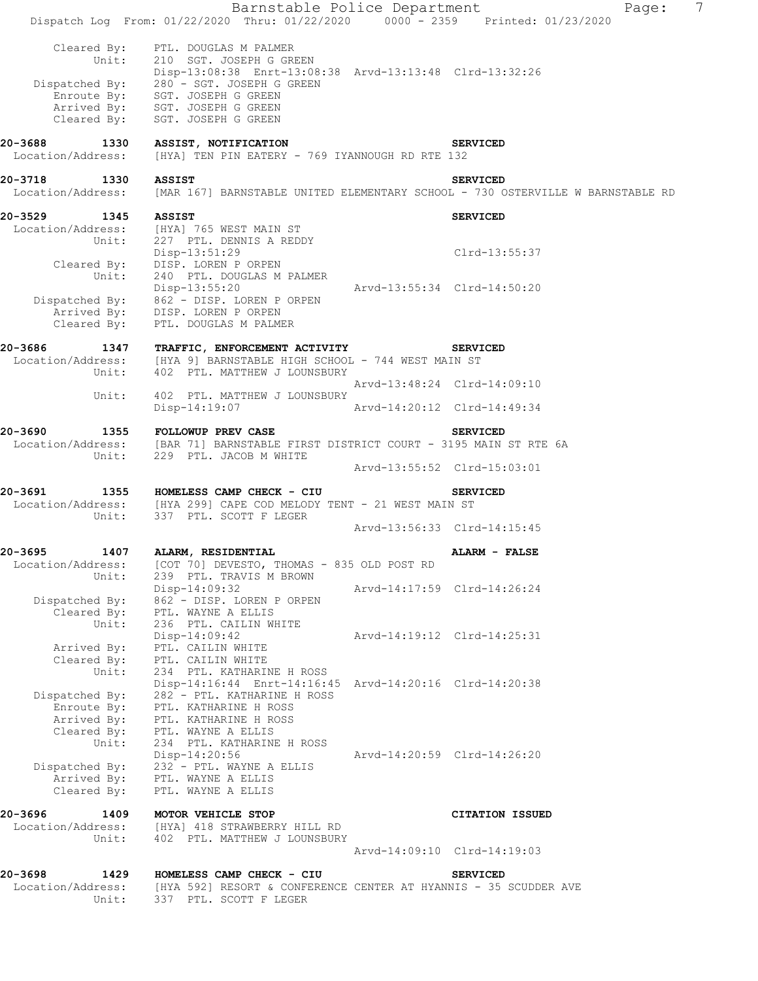|                                               | Barnstable Police Department<br>Dispatch Log From: 01/22/2020 Thru: 01/22/2020 0000 - 2359 Printed: 01/23/2020                                                                                                                                                         |                             |                             | $\overline{7}$<br>Page: |
|-----------------------------------------------|------------------------------------------------------------------------------------------------------------------------------------------------------------------------------------------------------------------------------------------------------------------------|-----------------------------|-----------------------------|-------------------------|
| Cleared By:                                   | Cleared By: PTL. DOUGLAS M PALMER<br>Unit: 210 SGT. JOSEPH G GREEN<br>Disp-13:08:38 Enrt-13:08:38 Arvd-13:13:48 Clrd-13:32:26<br>Dispatched By: 280 - SGT. JOSEPH G GREEN<br>Enroute By: SGT. JOSEPH G GREEN<br>Arrived By: SGT. JOSEPH G GREEN<br>SGT. JOSEPH G GREEN |                             |                             |                         |
| 20-3688 1330<br>Location/Address:             | ASSIST, NOTIFICATION<br>[HYA] TEN PIN EATERY - 769 IYANNOUGH RD RTE 132                                                                                                                                                                                                |                             | <b>SERVICED</b>             |                         |
| 20-3718 1330 ASSIST<br>Location/Address:      | [MAR 167] BARNSTABLE UNITED ELEMENTARY SCHOOL - 730 OSTERVILLE W BARNSTABLE RD                                                                                                                                                                                         |                             | <b>SERVICED</b>             |                         |
| 20-3529<br>1345 ASSIST                        | Location/Address: [HYA] 765 WEST MAIN ST<br>Unit: 227 PTL. DENNIS A REDDY                                                                                                                                                                                              |                             | <b>SERVICED</b>             |                         |
|                                               | Disp-13:51:29<br>Cleared By: DISP. LOREN P ORPEN<br>Unit: 240 PTL. DOUGLAS M PALMER                                                                                                                                                                                    |                             | Clrd-13:55:37               |                         |
| Cleared By:                                   | Disp-13:55:20<br>Dispatched By: 862 - DISP. LOREN P ORPEN<br>Arrived By: DISP. LOREN P ORPEN<br>PTL. DOUGLAS M PALMER                                                                                                                                                  | Arvd-13:55:34 Clrd-14:50:20 |                             |                         |
|                                               |                                                                                                                                                                                                                                                                        |                             |                             |                         |
| 20-3686                                       | 1347 TRAFFIC, ENFORCEMENT ACTIVITY<br>Location/Address: [HYA 9] BARNSTABLE HIGH SCHOOL - 744 WEST MAIN ST                                                                                                                                                              |                             | <b>SERVICED</b>             |                         |
|                                               | Unit: 402 PTL. MATTHEW J LOUNSBURY                                                                                                                                                                                                                                     |                             |                             |                         |
| Unit:                                         | 402 PTL. MATTHEW J LOUNSBURY                                                                                                                                                                                                                                           | Arvd-14:20:12 Clrd-14:49:34 | Arvd-13:48:24 Clrd-14:09:10 |                         |
|                                               | Disp-14:19:07                                                                                                                                                                                                                                                          |                             |                             |                         |
| 20-3690                                       | 1355 FOLLOWUP PREV CASE<br>Location/Address: [BAR 71] BARNSTABLE FIRST DISTRICT COURT - 3195 MAIN ST RTE 6A<br>Unit: 229 PTL. JACOB M WHITE                                                                                                                            |                             | <b>SERVICED</b>             |                         |
|                                               |                                                                                                                                                                                                                                                                        |                             | Arvd-13:55:52 Clrd-15:03:01 |                         |
| 20-3691                                       | 1355 HOMELESS CAMP CHECK - CIU<br>Location/Address: [HYA 299] CAPE COD MELODY TENT - 21 WEST MAIN ST<br>Unit: 337 PTL. SCOTT F LEGER                                                                                                                                   |                             | <b>SERVICED</b>             |                         |
|                                               |                                                                                                                                                                                                                                                                        |                             | Arvd-13:56:33 Clrd-14:15:45 |                         |
| 20-3695                                       | 1407 ALARM, RESIDENTIAL                                                                                                                                                                                                                                                |                             | ALARM - FALSE               |                         |
| Location/Address:<br>Unit:                    | [COT 70] DEVESTO, THOMAS - 835 OLD POST RD<br>239 PTL. TRAVIS M BROWN                                                                                                                                                                                                  |                             |                             |                         |
|                                               | Disp-14:09:32<br>Dispatched By: 862 - DISP. LOREN P ORPEN<br>Cleared By: PTL. WAYNE A ELLIS                                                                                                                                                                            |                             | Arvd-14:17:59 Clrd-14:26:24 |                         |
| Unit:                                         | 236 PTL. CAILIN WHITE                                                                                                                                                                                                                                                  |                             |                             |                         |
| Arrived By:                                   | $Disp-14:09:42$<br>PTL. CAILIN WHITE                                                                                                                                                                                                                                   | Arvd-14:19:12 Clrd-14:25:31 |                             |                         |
| Cleared By:<br>Unit:                          | PTL. CAILIN WHITE<br>234 PTL. KATHARINE H ROSS<br>Disp-14:16:44 Enrt-14:16:45 Arvd-14:20:16 Clrd-14:20:38                                                                                                                                                              |                             |                             |                         |
| Dispatched By:<br>Arrived By:                 | 282 - PTL. KATHARINE H ROSS<br>Enroute By: PTL. KATHARINE H ROSS<br>PTL. KATHARINE H ROSS                                                                                                                                                                              |                             |                             |                         |
| Cleared By:<br>Unit:                          | PTL. WAYNE A ELLIS<br>234 PTL. KATHARINE H ROSS<br>Disp-14:20:56                                                                                                                                                                                                       | Arvd-14:20:59 Clrd-14:26:20 |                             |                         |
| Cleared By:                                   | Dispatched By: 232 - PTL. WAYNE A ELLIS<br>Arrived By: PTL. WAYNE A ELLIS<br>PTL. WAYNE A ELLIS                                                                                                                                                                        |                             |                             |                         |
| 20-3696<br>1409<br>Location/Address:<br>Unit: | MOTOR VEHICLE STOP<br>[HYA] 418 STRAWBERRY HILL RD<br>402 PTL. MATTHEW J LOUNSBURY                                                                                                                                                                                     |                             | <b>CITATION ISSUED</b>      |                         |
|                                               |                                                                                                                                                                                                                                                                        |                             | Arvd-14:09:10 Clrd-14:19:03 |                         |
| 20-3698<br>1429<br>Unit:                      | HOMELESS CAMP CHECK - CIU<br>Location/Address: [HYA 592] RESORT & CONFERENCE CENTER AT HYANNIS - 35 SCUDDER AVE<br>337 PTL. SCOTT F LEGER                                                                                                                              |                             | <b>SERVICED</b>             |                         |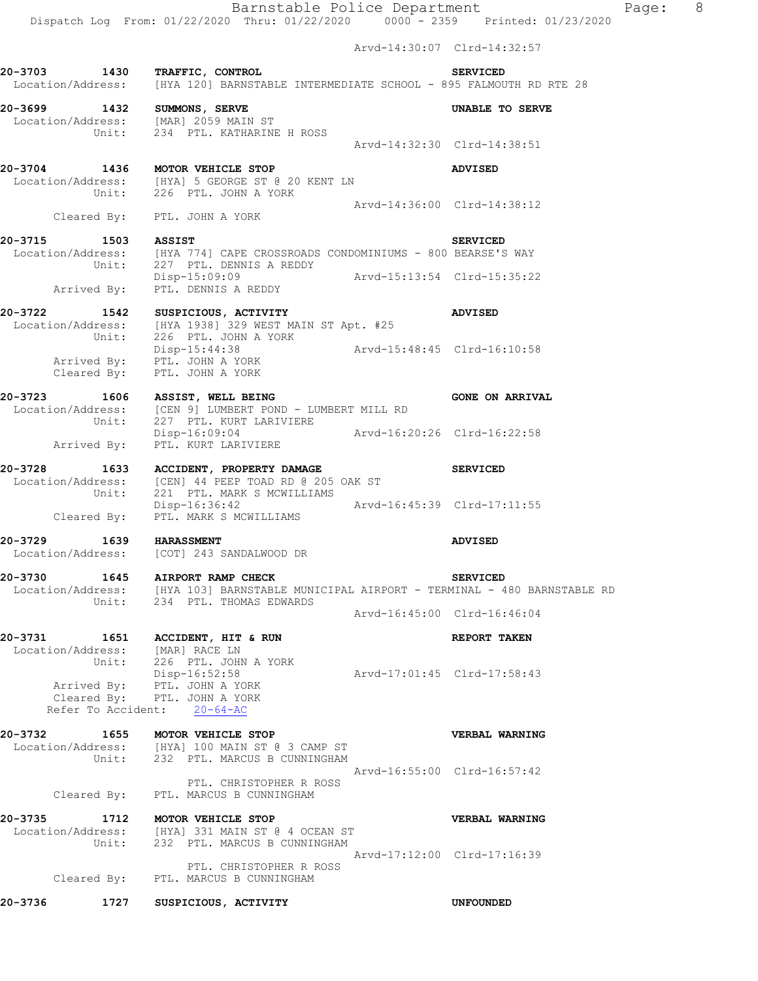Arvd-14:30:07 Clrd-14:32:57 **20-3703 1430 TRAFFIC, CONTROL SERVICED**  Location/Address: [HYA 120] BARNSTABLE INTERMEDIATE SCHOOL - 895 FALMOUTH RD RTE 28 **20-3699 1432 SUMMONS, SERVE UNABLE TO SERVE**  Location/Address: [MAR] 2059 MAIN ST Unit: 234 PTL. KATHARINE H ROSS Arvd-14:32:30 Clrd-14:38:51 **20-3704 1436 MOTOR VEHICLE STOP ADVISED**  Location/Address: [HYA] 5 GEORGE ST @ 20 KENT LN Unit: 226 PTL. JOHN A YORK Arvd-14:36:00 Clrd-14:38:12 Cleared By: PTL. JOHN A YORK **20-3715 1503 ASSIST SERVICED**  Location/Address: [HYA 774] CAPE CROSSROADS CONDOMINIUMS - 800 BEARSE'S WAY Unit: 227 PTL. DENNIS A REDDY Disp-15:09:09 Arvd-15:13:54 Clrd-15:35:22 Arrived By: PTL. DENNIS A REDDY **20-3722 1542 SUSPICIOUS, ACTIVITY ADVISED**  Location/Address: [HYA 1938] 329 WEST MAIN ST Apt. #25 Unit: 226 PTL. JOHN A YORK Disp-15:44:38 Arvd-15:48:45 Clrd-16:10:58 Disp-15:44:38<br>Arrived By: PTL. JOHN A YORK Cleared By: PTL. JOHN A YORK **20-3723 1606 ASSIST, WELL BEING GONE ON ARRIVAL**  Location/Address: [CEN 9] LUMBERT POND - LUMBERT MILL RD Unit: 227 PTL. KURT LARIVIERE Disp-16:09:04 Arvd-16:20:26 Clrd-16:22:58 Disp-16:09:04<br>Arrived By: PTL. KURT LARIVIERE **20-3728 1633 ACCIDENT, PROPERTY DAMAGE SERVICED**  Location/Address: [CEN] 44 PEEP TOAD RD @ 205 OAK ST Unit: 221 PTL. MARK S MCWILLIAMS Disp-16:36:42 Arvd-16:45:39 Clrd-17:11:55 Cleared By: PTL. MARK S MCWILLIAMS **20-3729 1639 HARASSMENT ADVISED**  Location/Address: [COT] 243 SANDALWOOD DR **20-3730 1645 AIRPORT RAMP CHECK SERVICED**  Location/Address: [HYA 103] BARNSTABLE MUNICIPAL AIRPORT - TERMINAL - 480 BARNSTABLE RD Unit: 234 PTL. THOMAS EDWARDS Arvd-16:45:00 Clrd-16:46:04 **20-3731 1651 ACCIDENT, HIT & RUN REPORT TAKEN**  Location/Address: [MAR] RACE LN Unit: 226 PTL. JOHN A YORK Disp-16:52:58 Arvd-17:01:45 Clrd-17:58:43 Arrived By: PTL. JOHN A YORK Cleared By: PTL. JOHN A YORK Refer To Accident: 20-64-AC **20-3732 1655 MOTOR VEHICLE STOP VERBAL WARNING**  Location/Address: [HYA] 100 MAIN ST @ 3 CAMP ST Unit: 232 PTL. MARCUS B CUNNINGHAM Arvd-16:55:00 Clrd-16:57:42 PTL. CHRISTOPHER R ROSS Cleared By: PTL. MARCUS B CUNNINGHAM **20-3735 1712 MOTOR VEHICLE STOP VERBAL WARNING**  Location/Address: [HYA] 331 MAIN ST @ 4 OCEAN ST Unit: 232 PTL. MARCUS B CUNNINGHAM Arvd-17:12:00 Clrd-17:16:39 PTL. CHRISTOPHER R ROSS Cleared By: PTL. MARCUS B CUNNINGHAM **20-3736 1727 SUSPICIOUS, ACTIVITY UNFOUNDED**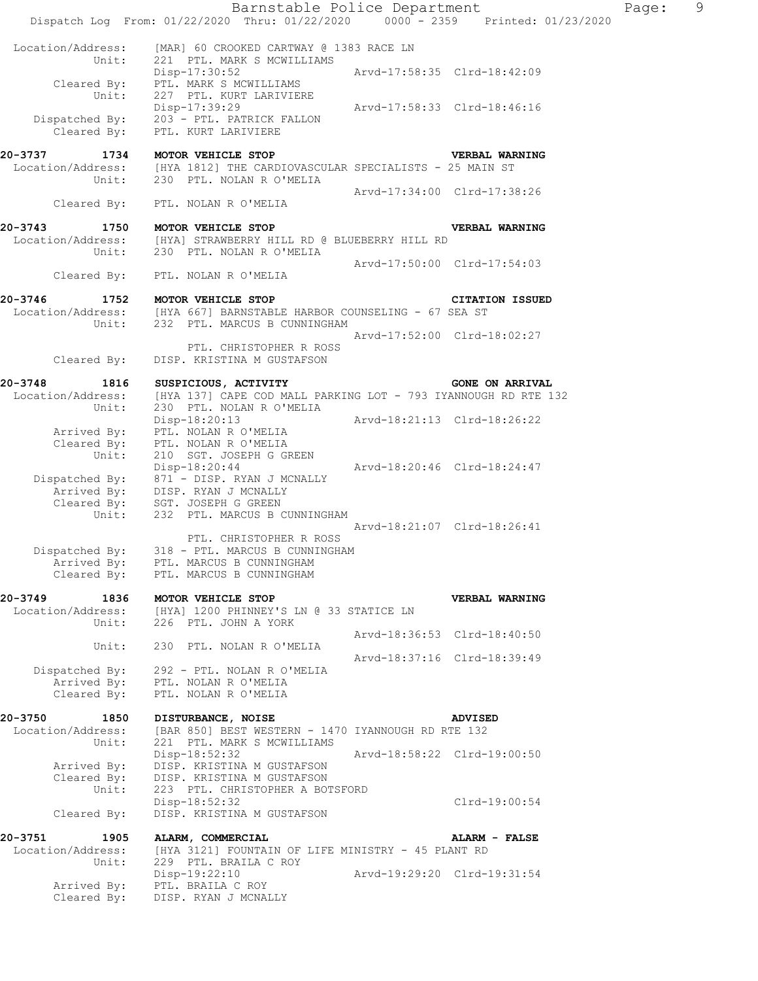|                                               | Barnstable Police Department<br>Dispatch Log From: 01/22/2020 Thru: 01/22/2020 0000 - 2359 Printed: 01/23/2020             |                             |                             | Page: | 9 |
|-----------------------------------------------|----------------------------------------------------------------------------------------------------------------------------|-----------------------------|-----------------------------|-------|---|
| Location/Address:<br>Unit:                    | [MAR] 60 CROOKED CARTWAY @ 1383 RACE LN<br>221 PTL. MARK S MCWILLIAMS                                                      |                             |                             |       |   |
| Cleared By:<br>Unit:                          | Disp-17:30:52<br>PTL. MARK S MCWILLIAMS<br>227 PTL. KURT LARIVIERE                                                         | Arvd-17:58:35 Clrd-18:42:09 |                             |       |   |
| Dispatched By:<br>Cleared By:                 | Disp-17:39:29 Arvd-17:58:33 Clrd-18:46:16<br>203 - PTL. PATRICK FALLON<br>PTL. KURT LARIVIERE                              |                             |                             |       |   |
| 20-3737 1734<br>Unit:                         | MOTOR VEHICLE STOP<br>Location/Address: [HYA 1812] THE CARDIOVASCULAR SPECIALISTS - 25 MAIN ST<br>230 PTL. NOLAN R O'MELIA |                             | VERBAL WARNING              |       |   |
| Cleared By:                                   | PTL. NOLAN R O'MELIA                                                                                                       | Arvd-17:34:00 Clrd-17:38:26 |                             |       |   |
|                                               | 20-3743 1750 MOTOR VEHICLE STOP                                                                                            |                             | <b>VERBAL WARNING</b>       |       |   |
| Unit:                                         | Location/Address: [HYA] STRAWBERRY HILL RD @ BLUEBERRY HILL RD<br>230 PTL. NOLAN R O'MELIA                                 |                             |                             |       |   |
| Cleared By:                                   | PTL. NOLAN R O'MELIA                                                                                                       | Arvd-17:50:00 Clrd-17:54:03 |                             |       |   |
| 20-3746                                       | 1752 MOTOR VEHICLE STOP                                                                                                    |                             | <b>CITATION ISSUED</b>      |       |   |
| Unit:                                         | Location/Address: [HYA 667] BARNSTABLE HARBOR COUNSELING - 67 SEA ST<br>232 PTL. MARCUS B CUNNINGHAM                       |                             |                             |       |   |
| Cleared By:                                   | PTL. CHRISTOPHER R ROSS<br>DISP. KRISTINA M GUSTAFSON                                                                      | Arvd-17:52:00 Clrd-18:02:27 |                             |       |   |
| 20-3748<br>1816                               | SUSPICIOUS, ACTIVITY                                                                                                       |                             | <b>GONE ON ARRIVAL</b>      |       |   |
| Location/Address:                             | [HYA 137] CAPE COD MALL PARKING LOT - 793 IYANNOUGH RD RTE 132                                                             |                             |                             |       |   |
| Unit:                                         | 230 PTL. NOLAN R O'MELIA<br>Disp-18:20:13 Arvd-18:21:13 Clrd-18:26:22                                                      |                             |                             |       |   |
| Arrived By:                                   | PTL. NOLAN R O'MELIA                                                                                                       |                             |                             |       |   |
| Cleared By:<br>Unit:                          | PTL. NOLAN R O'MELIA<br>210 SGT. JOSEPH G GREEN                                                                            |                             |                             |       |   |
|                                               | Disp-18:20:44                                                                                                              | Arvd-18:20:46 Clrd-18:24:47 |                             |       |   |
|                                               | Dispatched By: 871 - DISP. RYAN J MCNALLY<br>Arrived By: DISP. RYAN J MCNALLY<br>Cleared By: SGT. JOSEPH G GREEN           |                             |                             |       |   |
| Unit:                                         | 232 PTL. MARCUS B CUNNINGHAM                                                                                               |                             |                             |       |   |
|                                               |                                                                                                                            |                             | Arvd-18:21:07 Clrd-18:26:41 |       |   |
| Dispatched By:                                | PTL. CHRISTOPHER R ROSS<br>318 - PTL. MARCUS B CUNNINGHAM                                                                  |                             |                             |       |   |
| Arrived By:<br>Cleared By:                    | PTL. MARCUS B CUNNINGHAM<br>PTL. MARCUS B CUNNINGHAM                                                                       |                             |                             |       |   |
|                                               |                                                                                                                            |                             |                             |       |   |
| 20-3749<br>1836<br>Location/Address:<br>Unit: | MOTOR VEHICLE STOP<br>[HYA] 1200 PHINNEY'S LN @ 33 STATICE LN<br>226 PTL. JOHN A YORK                                      |                             | VERBAL WARNING              |       |   |
| Unit:                                         | 230 PTL. NOLAN R O'MELIA                                                                                                   |                             | Arvd-18:36:53 Clrd-18:40:50 |       |   |
| Dispatched By:                                | 292 - PTL. NOLAN R O'MELIA                                                                                                 |                             | Arvd-18:37:16 Clrd-18:39:49 |       |   |
| Arrived By:                                   | PTL. NOLAN R O'MELIA                                                                                                       |                             |                             |       |   |
| Cleared By:                                   | PTL. NOLAN R O'MELIA                                                                                                       |                             |                             |       |   |
| 20-3750<br>1850                               | DISTURBANCE, NOISE                                                                                                         |                             | <b>ADVISED</b>              |       |   |
| Location/Address:<br>Unit:                    | [BAR 850] BEST WESTERN - 1470 IYANNOUGH RD RTE 132<br>221 PTL. MARK S MCWILLIAMS                                           |                             |                             |       |   |
|                                               | Disp-18:52:32                                                                                                              |                             | Arvd-18:58:22 Clrd-19:00:50 |       |   |
| Arrived By:<br>Cleared By:                    | DISP. KRISTINA M GUSTAFSON<br>DISP. KRISTINA M GUSTAFSON                                                                   |                             |                             |       |   |
| Unit:                                         | 223 PTL. CHRISTOPHER A BOTSFORD<br>Disp-18:52:32                                                                           |                             | Clrd-19:00:54               |       |   |
| Cleared By:                                   | DISP. KRISTINA M GUSTAFSON                                                                                                 |                             |                             |       |   |
| 20-3751<br>1905                               | ALARM, COMMERCIAL                                                                                                          |                             | ALARM - FALSE               |       |   |
| Location/Address:                             | [HYA 3121] FOUNTAIN OF LIFE MINISTRY - 45 PLANT RD                                                                         |                             |                             |       |   |
| Unit:                                         | 229 PTL. BRAILA C ROY<br>Disp-19:22:10                                                                                     | Arvd-19:29:20 Clrd-19:31:54 |                             |       |   |
| Arrived By:                                   | PTL. BRAILA C ROY                                                                                                          |                             |                             |       |   |
| Cleared By:                                   | DISP. RYAN J MCNALLY                                                                                                       |                             |                             |       |   |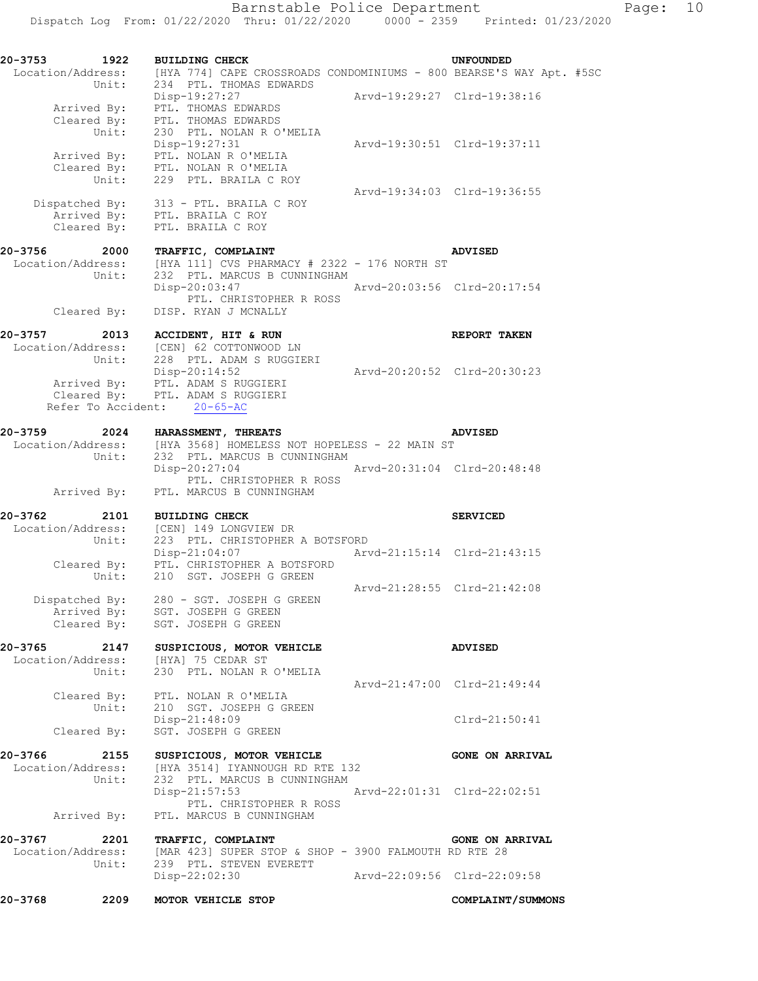| 20-3753 1922      |                      | <b>BUILDING CHECK</b><br>Location/Address: [HYA 774] CAPE CROSSROADS CONDOMINIUMS - 800 BEARSE'S WAY Apt. #5SC<br>234 PTL. THOMAS EDWARDS |                             | UNFOUNDED                   |  |
|-------------------|----------------------|-------------------------------------------------------------------------------------------------------------------------------------------|-----------------------------|-----------------------------|--|
|                   | Unit:                | Disp-19:27:27<br>Arrived By: PTL. THOMAS EDWARDS                                                                                          | Arvd-19:29:27 Clrd-19:38:16 |                             |  |
|                   |                      | Cleared By: PTL. THOMAS EDWARDS<br>Unit: 230 PTL. NOLAN R O<br>230 PTL. NOLAN R O'MELIA<br>Disp-19:27:31                                  | Arvd-19:30:51 Clrd-19:37:11 |                             |  |
|                   | Arrived By:<br>Unit: | PTL. NOLAN R O'MELIA<br>Cleared By: PTL. NOLAN R O'MELIA<br>229 PTL. BRAILA C ROY                                                         |                             |                             |  |
|                   |                      | Dispatched By: 313 - PTL. BRAILA C ROY<br>Arrived By: PTL. BRAILA C ROY                                                                   | Arvd-19:34:03 Clrd-19:36:55 |                             |  |
|                   |                      | Cleared By: PTL. BRAILA C ROY                                                                                                             |                             |                             |  |
| 20-3756           | 2000<br>Unit:        | TRAFFIC, COMPLAINT<br>Location/Address: [HYA 111] CVS PHARMACY # 2322 - 176 NORTH ST<br>232 PTL. MARCUS B CUNNINGHAM                      |                             | ADVISED                     |  |
|                   |                      | $Disp-20:03:47$<br>PTL. CHRISTOPHER R ROSS                                                                                                | Arvd-20:03:56 Clrd-20:17:54 |                             |  |
|                   | Cleared By:          | DISP. RYAN J MCNALLY                                                                                                                      |                             |                             |  |
| 20-3757 2013      |                      | ACCIDENT, HIT & RUN<br>Location/Address: [CEN] 62 COTTONWOOD LN<br>Unit: 228 PTL. ADAM S RUGGIERI                                         |                             | <b>REPORT TAKEN</b>         |  |
|                   |                      | Disp-20:14:52<br>Arrived By: PTL. ADAM S RUGGIERI                                                                                         | Arvd-20:20:52 Clrd-20:30:23 |                             |  |
|                   |                      | Cleared By: PTL. ADAM S RUGGIERI<br>Refer To Accident: 20-65-AC                                                                           |                             |                             |  |
|                   |                      | 20-3759 2024 HARASSMENT, THREATS                                                                                                          |                             | <b>ADVISED</b>              |  |
|                   | Unit:                | Location/Address: [HYA 3568] HOMELESS NOT HOPELESS - 22 MAIN ST<br>232 PTL. MARCUS B CUNNINGHAM<br>Disp-20:27:04                          | Arvd-20:31:04 Clrd-20:48:48 |                             |  |
|                   | Arrived By:          | PTL. CHRISTOPHER R ROSS<br>PTL. MARCUS B CUNNINGHAM                                                                                       |                             |                             |  |
| 20-3762           | 2101                 | <b>BUILDING CHECK</b>                                                                                                                     |                             | <b>SERVICED</b>             |  |
| Location/Address: |                      | dress: [CEN] 149 LONGVIEW DR<br>Unit: 223 PTL CHRICHODUP<br>223 PTL. CHRISTOPHER A BOTSFORD<br>Disp-21:04:07 Arvd-21:15:14 Clrd-21:43:15  |                             |                             |  |
|                   |                      | Cleared By: PTL. CHRISTOPHER A BOTSFORD<br>Unit: 210 SGT. JOSEPH G GREEN                                                                  | Arvd-21:28:55 Clrd-21:42:08 |                             |  |
|                   |                      | Dispatched By: 280 - SGT. JOSEPH G GREEN                                                                                                  |                             |                             |  |
|                   |                      | Arrived By: SGT. JOSEPH G GREEN<br>Cleared By: SGT. JOSEPH G GREEN                                                                        |                             |                             |  |
| 20-3765           |                      | 0-3765 2147 SUSPICIOUS, MOTOR VEHICLE<br>Location/Address: [HYA] 75 CEDAR ST                                                              |                             | <b>ADVISED</b>              |  |
|                   |                      | Unit: 230 PTL. NOLAN R O'MELIA                                                                                                            |                             | Arvd-21:47:00 Clrd-21:49:44 |  |
|                   | Unit:                | Cleared By: PTL. NOLAN R O'MELIA<br>210 SGT. JOSEPH G GREEN<br>$Disp-21:48:09$                                                            |                             | $Clrd-21:50:41$             |  |
|                   | Cleared By:          | SGT. JOSEPH G GREEN                                                                                                                       |                             |                             |  |
| 20-3766           |                      | 2155 SUSPICIOUS, MOTOR VEHICLE                                                                                                            |                             | <b>GONE ON ARRIVAL</b>      |  |
|                   | Unit:                | Location/Address: [HYA 3514] IYANNOUGH RD RTE 132<br>232 PTL. MARCUS B CUNNINGHAM<br>$Disp-21:57:53$                                      | Arvd-22:01:31 Clrd-22:02:51 |                             |  |
|                   | Arrived By:          | PTL. CHRISTOPHER R ROSS<br>PTL. MARCUS B CUNNINGHAM                                                                                       |                             |                             |  |
| 20-3767           | 2201                 | TRAFFIC, COMPLAINT                                                                                                                        |                             | <b>GONE ON ARRIVAL</b>      |  |
|                   | Unit:                | Location/Address: [MAR 423] SUPER STOP & SHOP - 3900 FALMOUTH RD RTE 28<br>239 PTL. STEVEN EVERETT<br>Disp-22:02:30                       | Arvd-22:09:56 Clrd-22:09:58 |                             |  |
|                   |                      |                                                                                                                                           |                             |                             |  |
| 20-3768           | 2209                 | MOTOR VEHICLE STOP                                                                                                                        |                             | COMPLAINT/SUMMONS           |  |